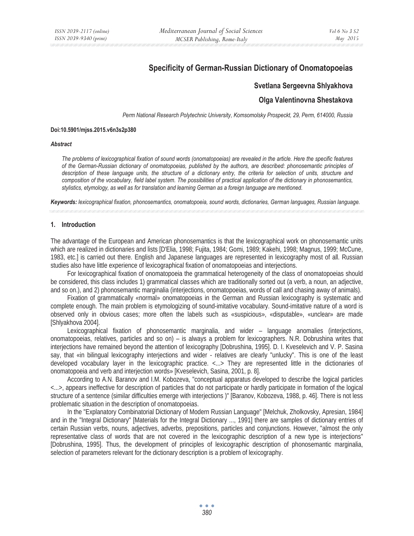# **Specificity of German-Russian Dictionary of Onomatopoeias**

## **Svetlana Sergeevna Shlyakhova**

## **Olga Valentinovna Shestakova**

*Perm National Research Polytechnic University, Komsomolsky Prospeckt, 29, Perm, 614000, Russia* 

#### **Doi:10.5901/mjss.2015.v6n3s2p380**

#### *Abstract*

*The problems of lexicographical fixation of sound words (onomatopoeias) are revealed in the article. Here the specific features of the German-Russian dictionary of onomatopoeias, published by the authors, are described: phonosemantic principles of*  description of these language units, the structure of a dictionary entry, the criteria for selection of units, structure and *composition of the vocabulary, field label system. The possibilities of practical application of the dictionary in phonosemantics, stylistics, etymology, as well as for translation and learning German as a foreign language are mentioned.* 

*Keywords: lexicographical fixation, phonosemantics, onomatopoeia, sound words, dictionaries, German languages, Russian language.* 

### **1. Introduction**

The advantage of the European and American phonosemantics is that the lexicographical work on phonosemantic units which are realized in dictionaries and lists [D'Elia, 1998; Fujita, 1984; Gomi, 1989; Kakehi, 1998; Magnus, 1999; McCune, 1983, etc.] is carried out there. English and Japanese languages are represented in lexicography most of all. Russian studies also have little experience of lexicographical fixation of onomatopoeias and interjections.

For lexicographical fixation of onomatopoeia the grammatical heterogeneity of the class of onomatopoeias should be considered, this class includes 1) grammatical classes which are traditionally sorted out (a verb, a noun, an adjective, and so on.), and 2) phonosemantic marginalia (interjections, onomatopoeias, words of call and chasing away of animals).

Fixation of grammatically «normal» onomatopoeias in the German and Russian lexicography is systematic and complete enough. The main problem is etymologizing of sound-imitative vocabulary. Sound-imitative nature of a word is observed only in obvious cases; more often the labels such as «suspicious», «disputable», «unclear» are made [Shlyakhova 2004].

Lexicographical fixation of phonosemantic marginalia, and wider – language anomalies (interjections, onomatopoeias, relatives, particles and so on) – is always a problem for lexicographers. N.R. Dobrushina writes that interjections have remained beyond the attention of lexicography [Dobrushina, 1995]. D. I. Kveselevich and V. P. Sasina say, that «in bilingual lexicography interjections and wider - relatives are clearly "unlucky". This is one of the least developed vocabulary layer in the lexicographic practice. <...> They are represented little in the dictionaries of onomatopoeia and verb and interjection words» [Kveselevich, Sasina, 2001, p. 8].

According to A.N. Baranov and I.M. Kobozeva, "conceptual apparatus developed to describe the logical particles <...>, appears ineffective for description of particles that do not participate or hardly participate in formation of the logical structure of a sentence (similar difficulties emerge with interjections )" [Baranov, Kobozeva, 1988, p. 46]. There is not less problematic situation in the description of onomatopoeias.

In the "Explanatory Combinatorial Dictionary of Modern Russian Language" [Melchuk, Zholkovsky, Apresian, 1984] and in the "Integral Dictionary" [Materials for the Integral Dictionary ..., 1991] there are samples of dictionary entries of certain Russian verbs, nouns, adjectives, adverbs, prepositions, particles and conjunctions. However, "almost the only representative class of words that are not covered in the lexicographic description of a new type is interjections" [Dobrushina, 1995]. Thus, the development of principles of lexicographic description of phonosemantic marginalia, selection of parameters relevant for the dictionary description is a problem of lexicography.

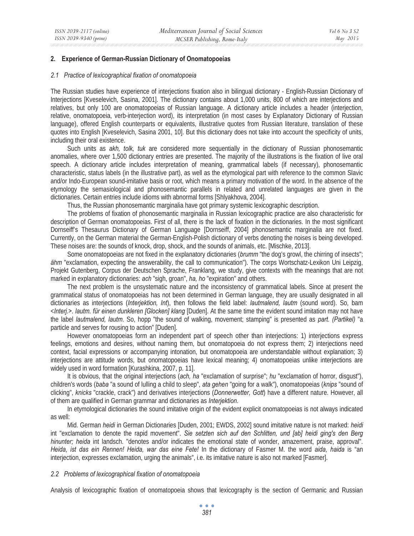### **2. Experience of German-Russian Dictionary of Onomatopoeias**

#### *2.1 Practice of lexicographical fixation of onomatopoeia*

The Russian studies have experience of interjections fixation also in bilingual dictionary - English-Russian Dictionary of Interjections [Kveselevich, Sasina, 2001]. The dictionary contains about 1,000 units, 800 of which are interjections and relatives, but only 100 are onomatopoeias of Russian language. A dictionary article includes a header (interjection, relative, onomatopoeia, verb-interjection word), its interpretation (in most cases by Explanatory Dictionary of Russian language), offered English counterparts or equivalents, illustrative quotes from Russian literature, translation of these quotes into English [Kveselevich, Sasina 2001, 10]. But this dictionary does not take into account the specificity of units, including their oral existence.

Such units as *akh, tolk, tuk* are considered more sequentially in the dictionary of Russian phonosemantic anomalies, where over 1,500 dictionary entries are presented. The majority of the illustrations is the fixation of live oral speech. A dictionary article includes interpretation of meaning, grammatical labels (if necessary), phonosemantic characteristic, status labels (in the illustrative part), as well as the etymological part with reference to the common Slavic and/or Indo-European sound-imitative basis or root, which means a primary motivation of the word. In the absence of the etymology the semasiological and phonosemantic parallels in related and unrelated languages are given in the dictionaries. Certain entries include idioms with abnormal forms [Shlyakhova, 2004].

Thus, the Russian phonosemantic marginalia have got primary systemic lexicographic description.

The problems of fixation of phonosemantic marginalia in Russian lexicographic practice are also characteristic for description of German onomatopoeias. First of all, there is the lack of fixation in the dictionaries. In the most significant Dornseiff's Thesaurus Dictionary of German Language [Dornseiff, 2004] phonosemantic marginalia are not fixed. Currently, on the German material the German-English-Polish dictionary of verbs denoting the noises is being developed. These noises are: the sounds of knock, drop, shock, and the sounds of animals, etc. [Mischke, 2013].

Some onomatopoeias are not fixed in the explanatory dictionaries (*brumm* "the dog's growl, the chirring of insects"; *ähm* "exclamation, expecting the answerability, the call to communication"). The corps Wortschatz-Lexikon Uni Leipzig, Projekt Gutenberg, Corpus der Deutschen Sprache, Franklang, we study, give contexts with the meanings that are not marked in explanatory dictionaries: *ach* "sigh, groan", *ha, ho* "expiration" and others.

The next problem is the unsystematic nature and the inconsistency of grammatical labels. Since at present the grammatical status of onomatopoeias has not been determined in German language, they are usually designated in all dictionaries as interjections (*Interjektion, Int*), then follows the field label: *lautmalend, lautm* (sound word). So, bam <*Interj.>. lautm. für einen dunkleren [Glocken] klang* [Duden]. At the same time the evident sound imitation may not have the label *lautmalend, lautm*. So, hopp "the sound of walking, movement; stamping" is presented as *part. (Partikel)* "a particle and serves for rousing to action" [Duden].

However onomatopoeias form an independent part of speech other than interjections: 1) interjections express feelings, emotions and desires, without naming them, but onomatopoeia do not express them; 2) interjections need context, facial expressions or accompanying intonation, but onomatopoeia are understandable without explanation; 3) interjections are attitude words, but onomatopoeias have lexical meaning; 4) onomatopoeias unlike interjections are widely used in word formation [Kurashkina, 2007, p. 11].

It is obvious, that the original interjections (*ach, ha* "exclamation of surprise"; *hu* "exclamation of horror, disgust"), children's words (*baba* "a sound of lulling a child to sleep", *ata gehen* "going for a walk"), onomatopoeias (*knips* "sound of clicking", *knicks* "crackle, crack") and derivatives interjections (*Donnerwetter, Gott*) have a different nature. However, all of them are qualified in German grammar and dictionaries as *Interjektion.* 

In etymological dictionaries the sound imitative origin of the evident explicit onomatopoeias is not always indicated as well:

Mid. German *heidi* in German Dictionaries [Duden, 2001; EWDS, 2002] sound imitative nature is not marked: *heidi* int "exclamation to denote the rapid movement". *Sie setzten sich auf den Schlitten, und [ab] heidi ging's den Berg hinunter; heida* int landsch. "denotes and/or indicates the emotional state of wonder, amazement, praise, approval". *Heida, ist das ein Rennen! Heida, war das eine Fete!* In the dictionary of Fasmer M. the word *aida, haida* is "an interjection, expresses exclamation, urging the animals", i.e. its imitative nature is also not marked [Fasmer].

### *2.2 Problems of lexicographical fixation of onomatopoeia*

Analysis of lexicographic fixation of onomatopoeia shows that lexicography is the section of Germanic and Russian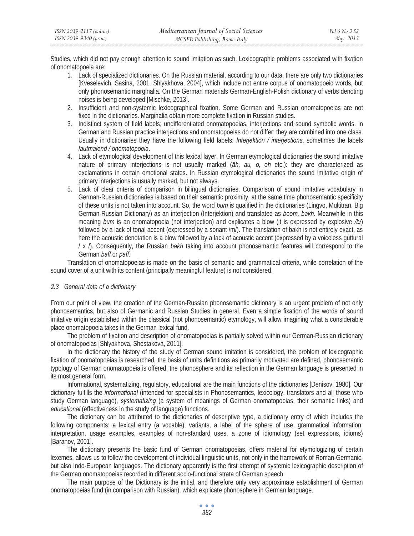Studies, which did not pay enough attention to sound imitation as such. Lexicographic problems associated with fixation of onomatopoeia are:

- 1. Lack of specialized dictionaries. On the Russian material, according to our data, there are only two dictionaries [Kveselevich, Sasina, 2001. Shlyakhova, 2004], which include not entire corpus of onomatopoeic words, but only phonosemantic marginalia. On the German materials German-English-Polish dictionary of verbs denoting noises is being developed [Mischke, 2013].
- 2. Insufficient and non-systemic lexicographical fixation. Some German and Russian onomatopoeias are not fixed in the dictionaries. Marginalia obtain more complete fixation in Russian studies.
- 3. Indistinct system of field labels; undifferentiated onomatopoeias, interjections and sound symbolic words. In German and Russian practice interjections and onomatopoeias do not differ; they are combined into one class. Usually in dictionaries they have the following field labels: *Interjektion / interjections*, sometimes the labels *lautmalend / onomatopoeia*.
- 4. Lack of etymological development of this lexical layer. In German etymological dictionaries the sound imitative nature of primary interjections is not usually marked (*äh, au, o, oh* etc.): they are characterized as exclamations in certain emotional states. In Russian etymological dictionaries the sound imitative origin of primary interjections is usually marked, but not always.
- 5. Lack of clear criteria of comparison in bilingual dictionaries. Comparison of sound imitative vocabulary in German-Russian dictionaries is based on their semantic proximity, at the same time phonosemantic specificity of these units is not taken into account. So, the word *bum* is qualified in the dictionaries (Lingvo, Multitran. Big German-Russian Dictionary) as an interjection (Interjektion) and translated as *boom, bakh*. Meanwhile in this meaning *bum* is an onomatopoeia (not interjection) and explicates a blow (it is expressed by explosive */b/*) followed by a lack of tonal accent (expressed by a sonant /m/). The translation of bakh is not entirely exact, as here the acoustic denotation is a blow followed by a lack of acoustic accent (expressed by a voiceless guttural / x /). Consequently, the Russian *bakh* taking into account phonosemantic features will correspond to the German *baff* or *paff*.

Translation of onomatopoeias is made on the basis of semantic and grammatical criteria, while correlation of the sound cover of a unit with its content (principally meaningful feature) is not considered.

## *2.3 General data of a dictionary*

From our point of view, the creation of the German-Russian phonosemantic dictionary is an urgent problem of not only phonosemantics, but also of Germanic and Russian Studies in general. Even a simple fixation of the words of sound imitative origin established within the classical (not phonosemantic) etymology, will allow imagining what a considerable place onomatopoeia takes in the German lexical fund.

The problem of fixation and description of onomatopoeias is partially solved within our German-Russian dictionary of onomatopoeias [Shlyakhova, Shestakova, 2011].

In the dictionary the history of the study of German sound imitation is considered, the problem of lexicographic fixation of onomatopoeias is researched, the basis of units definitions as primarily motivated are defined, phonosemantic typology of German onomatopoeia is offered, the phonosphere and its reflection in the German language is presented in its most general form.

Informational, systematizing, regulatory, educational are the main functions of the dictionaries [Denisov, 1980]. Our dictionary fulfills the *informational* (intended for specialists in Phonosemantics, lexicology, translators and all those who study German language), *systematizing* (a system of meanings of German onomatopoeias, their semantic links) and *educational* (effectiveness in the study of language) functions.

The dictionary can be attributed to the dictionaries of descriptive type, a dictionary entry of which includes the following components: a lexical entry (a vocable), variants, a label of the sphere of use, grammatical information. interpretation, usage examples, examples of non-standard uses, a zone of idiomology (set expressions, idioms) [Baranov, 2001].

The dictionary presents the basic fund of German onomatopoeias, offers material for etymologizing of certain lexemes, allows us to follow the development of individual linguistic units, not only in the framework of Roman-Germanic, but also Indo-European languages. The dictionary apparently is the first attempt of systemic lexicographic description of the German onomatopoeias recorded in different socio-functional strata of German speech.

The main purpose of the Dictionary is the initial, and therefore only very approximate establishment of German onomatopoeias fund (in comparison with Russian), which explicate phonosphere in German language.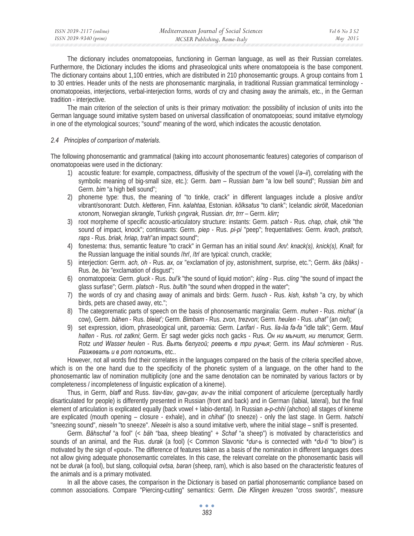The dictionary includes onomatopoeias, functioning in German language, as well as their Russian correlates. Furthermore, the Dictionary includes the idioms and phraseological units where onomatopoeia is the base component. The dictionary contains about 1,100 entries, which are distributed in 210 phonosemantic groups. A group contains from 1 to 30 entries. Header units of the nests are phonosemantic marginalia, in traditional Russian grammatical terminology onomatopoeias, interjections, verbal-interjection forms, words of cry and chasing away the animals, etc., in the German tradition - interjective.

The main criterion of the selection of units is their primary motivation: the possibility of inclusion of units into the German language sound imitative system based on universal classification of onomatopoeias; sound imitative etymology in one of the etymological sources; "sound" meaning of the word, which indicates the acoustic denotation.

## *2.4 Principles of comparison of materials.*

The following phonosemantic and grammatical (taking into account phonosemantic features) categories of comparison of onomatopoeias were used in the dictionary:

- 1) acoustic feature: for example, compactness, diffusivity of the spectrum of the vowel (/*a–i*/), correlating with the symbolic meaning of big-small size, etc.): Germ. *bam –* Russian *bam* "a low bell sound"; Russian *bim* and Germ. *bim* "a high bell sound";
- 2) phoneme type: thus, the meaning of "to tinkle, crack" in different languages include a plosive and/or vibrant/sonorant: Dutch. *kletteren*, Finn. *kalahtaa*, Estonian. *kõlksatus* "to clank"; Icelandic *skrölt*, Macedonian  $k$ πορήφη, Norwegian *skrangle*, Turkish *çıngırak*, Russian, drr, trrr – Germ. klirr;
- 3) root morpheme of specific acoustic-articulatory structure: instants: Germ. *patsch* Rus. *chap, chak, chik* "the sound of impact, knock"; continuants: Germ. *piep* - Rus. *pi-pi* "peep"; frequentatives: Germ. *krach*, *pratsch, raps* - Rus. *briak, hriap, trah*"an impact sound";
- 4) fonestema: thus, semantic feature "to crack" in German has an initial sound */kn/*: *knack(s), knick(s), Knall*; for the Russian language the initial sounds /*hr*/, /*tr*/ are typical: crunch, crackle;
- 5) interjection: Germ. *ach, oh* Rus. *ax, ox* "exclamation of joy, astonishment, surprise, etc."; Germ. *äks (bäks)* -Rus. *be, bis* "exclamation of disgust";
- 6) onomatopoeia: Germ. *gluck* Rus. *bul'k* "the sound of liquid motion"; *kling*  Rus. *cling* "the sound of impact the glass surfase"; Germ. *platsch* - Rus. *bultih* "the sound when dropped in the water";
- 7) the words of cry and chasing away of animals and birds: Germ. *husch* Rus. *kish, kshsh* "a cry, by which birds, pets are chased away, etc.";
- 8) The categorematic parts of speech on the basis of phonosemantic marginalia: Germ. *muhen* Rus. *michat'* (a cow), Germ. *bähen* - Rus. *bleiat';* Germ. *Bimbam* - Rus. *zvon, trezvon*; Germ. *heulen* - Rus. *uhat"* (an owl);
- 9) set expression, idiom, phraseological unit, paroemia: Germ. *Larifari* Rus. *lia-lia fa-fa* "idle talk"; Germ. *Maul halten* - Rus. *rot zatkni*; Germ. Er sagt weder gicks noch gacks - Rus. *Ɉɧ ɧɢ ɦɵɱɢɬ, ɧɢ ɬɟɥɢɬɫɹ*; Germ. Rotz und Wasser heulen - Rus. Выть белугой; реветь в три ручья; Germ. ins Maul schmieren - Rus. **Разжевать и в рот положить**, etc..

However, not all words find their correlates in the languages compared on the basis of the criteria specified above, which is on the one hand due to the specificity of the phonetic system of a language, on the other hand to the phonosemantic law of nomination multiplicity (one and the same denotation can be nominated by various factors or by completeness / incompleteness of linguistic explication of a kineme).

Thus, in Germ, *blaff* and Russ. *tiav-tiav, gav-gav, av-av* the initial component of articuleme (perceptually hardly disarticulated for people) is differently presented in Russian (front and back) and in German (labial, lateral), but the final element of articulation is explicated equally (back vowel + labio-dental). In Russian *a-p-chhi* (ahchoo) all stages of kineme are explicated (mouth opening – closure - exhale), and in *chihat'* (to sneeze) - only the last stage. In Germ. *hatschi* "sneezing sound", *nieseln* "to sneeze". *Nieseln* is also a sound imitative verb, where the initial stage – sniff is presented.

Germ. *Bähschaf* "a fool" (< *bäh* "baa, sheep bleating" + *Schaf* "a sheep") is motivated by characteristics and sounds of an animal, and the Rus. *durak* (a fool) (< Common Slavonic \**dur-b* is connected with \**du-ti* "to blow") is motivated by the sign of «pout». The difference of features taken as a basis of the nomination in different languages does not allow giving adequate phonosemantic correlates. In this case, the relevant correlate on the phonosemantic basis will not be *durak* (a fool), but slang, colloquial *ovtsa, baran* (sheep, ram), which is also based on the characteristic features of the animals and is a primary motivated.

In all the above cases, the comparison in the Dictionary is based on partial phonosemantic compliance based on common associations. Compare "Piercing-cutting" semantics: Germ. *Die Klingen kreuzen* "cross swords", measure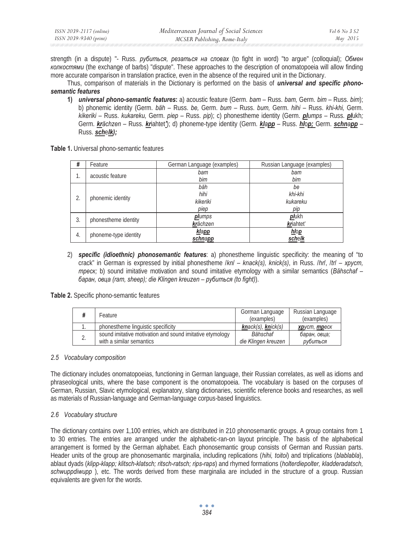| ISSN 2039-2117 (online) | Mediterranean Journal of Social Sciences | <i>Vol</i> 6 No 3 S2 |
|-------------------------|------------------------------------------|----------------------|
| ISSN 2039-9340 (print)  | MCSER Publishing, Rome-Italy             | May 2015             |

strength (in a dispute) "- Russ. *рубиться*, *резаться на словах* (to fight in word) "to argue" (colloquial); Обмен *ɤɨɥɤɨɫɬɹɦɢ* (the exchange of barbs) "dispute". These approaches to the description of onomatopoeia will allow finding more accurate comparison in translation practice, even in the absence of the required unit in the Dictionary.

Thus, comparison of materials in the Dictionary is performed on the basis of *universal and specific phonosemantic features*

**1)** *universal phono-semantic features***:** a) acoustic feature (Germ. *bam* – Russ. *bam,* Germ. *bim* – Russ. *bim*); b) phonemic identity (Germ. *bäh* – Russ. *be,* Germ. *bum* – Russ. *bum,* Germ. *hihi* – Russ. *khi-khi,* Germ. *kikeriki* – Russ. *kukareku,* Germ. *piep* – Russ. *pip*); c) phonestheme identity (Germ. *plumps* – Russ. *pl*ukh*;*  Germ. *krächzen* – Russ. *kr*iahtet*'*); d) phoneme-type identity (Germ. *klapp* – Russ. *hl*o*p;* Germ. *schnapp* – Russ. *sch*e*lk);* 

**Table 1.** Universal phono-semantic features

| #  | Feature               | German Language (examples) | Russian Language (examples) |
|----|-----------------------|----------------------------|-----------------------------|
| 1. | acoustic feature      | bam                        | bam                         |
|    |                       | bim                        | bim                         |
| 2. | phonemic identity     | bäh                        | be                          |
|    |                       | hihi                       | khi-khi                     |
|    |                       | kikeriki                   | kukareku                    |
|    |                       | piep                       | pip                         |
| 3. | phonestheme identity  | <b>pl</b> umps             | plukh                       |
|    |                       | krächzen                   | kriahtet'                   |
| 4. | phoneme-type identity | klapp                      | hlop                        |
|    |                       | schnapp                    | schelk                      |

2) *specific (idioethnic) phonosemantic features*: a) phonestheme linguistic specificity: the meaning of "to crack" in German is expressed by initial phonestheme /*kn*/ – *knack(s), knick(s),* in Russ. /*hrl, /tr/ – xpycm, mpecκ*; b) sound imitative motivation and sound imitative etymology with a similar semantics (Bähschaf –  $6$ аран, овца (ram, sheep); die Klingen kreuzen – рубиться (to fight)).

**Table 2.** Specific phono-semantic features

|   | Feature                                                  | Gorman Language<br>(examples) | Russian Language<br>(examples) |
|---|----------------------------------------------------------|-------------------------------|--------------------------------|
|   | phonestheme linguistic specificity                       | knack(s), knick(s)            | хруст, треск                   |
| ے | sound imitative motivation and sound imitative etymology | Bähschaf                      | баран, овца;                   |
|   | with a similar semantics                                 | die Klingen kreuzen           | рубиться                       |

## *2.5 Vocabulary composition*

The dictionary includes onomatopoeias, functioning in German language, their Russian correlates, as well as idioms and phraseological units, where the base component is the onomatopoeia. The vocabulary is based on the corpuses of German, Russian, Slavic etymological, explanatory, slang dictionaries, scientific reference books and researches, as well as materials of Russian-language and German-language corpus-based linguistics.

## *2.6 Vocabulary structure*

The dictionary contains over 1,100 entries, which are distributed in 210 phonosemantic groups. A group contains from 1 to 30 entries. The entries are arranged under the alphabetic-ran-on layout principle. The basis of the alphabetical arrangement is formed by the German alphabet. Each phonosemantic group consists of German and Russian parts. Header units of the group are phonosemantic marginalia, including replications (*hihi, toitoi*) and triplications (*blablabla*), ablaut dyads (*klipp-klapp; klitsch-klatsch; ritsch-ratsch; rips-raps*) and rhymed formations (*holterdiepolter, kladderadatsch, schwuppdiwupp* ), etc. The words derived from these marginalia are included in the structure of a group. Russian equivalents are given for the words.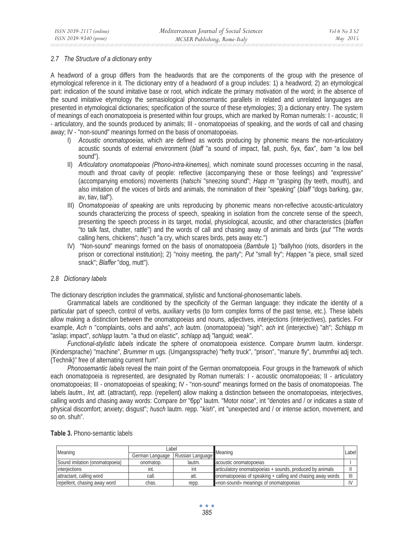### *2.7 The Structure of a dictionary entry*

A headword of a group differs from the headwords that are the components of the group with the presence of etymological reference in it. The dictionary entry of a headword of a group includes: 1) a headword; 2) an etymological part: indication of the sound imitative base or root, which indicate the primary motivation of the word; in the absence of the sound imitative etymology the semasiological phonosemantic parallels in related and unrelated languages are presented in etymological dictionaries; specification of the source of these etymologies; 3) a dictionary entry. The system of meanings of each onomatopoeia is presented within four groups, which are marked by Roman numerals: I - acoustic; II - articulatory, and the sounds produced by animals; III - onomatopoeias of speaking, and the words of call and chasing away; IV - "non-sound" meanings formed on the basis of onomatopoeias.

- I) *Acoustic onomatopoeias,* which are defined as words producing by phonemic means the non-articulatory acoustic sounds of external environment (*blaff* "a sound of impact, fall, push,  $6yx$ ,  $6ax$ ", *bam* "a low bell sound").
- II) *Articulatory onomatopoeias (Phono-intra-kinemes),* which nominate sound processes occurring in the nasal, mouth and throat cavity of people: reflective (accompanying these or those feelings) and "expressive" (accompanying emotions) movements (*hatschi* "sneezing sound"; *Happ m* "grasping (by teeth, mouth), and also imitation of the voices of birds and animals, the nomination of their "speaking" (*blaff* "dogs barking, gav, av, tiav, tiaf").
- III) *Onomatopoeias of speaking* are units reproducing by phonemic means non-reflective acoustic-articulatory sounds characterizing the process of speech, speaking in isolation from the concrete sense of the speech, presenting the speech process in its target, modal, physiological, acoustic, and other characteristics (*blaffen*  "to talk fast, chatter, rattle") and the words of call and chasing away of animals and birds (*put* "The words calling hens, chickens"; *husch* "a cry, which scares birds, pets away etc.")
- IV) "Non-sound" meanings formed on the basis of onomatopoeia (*Bambule* 1) "ballyhoo (riots, disorders in the prison or correctional institution); 2) "noisy meeting, the party"; *Put* "small fry"; *Happen* "a piece, small sized snack"; *Blaffer* "dog, mutt").

## *2.8 Dictionary labels*

The dictionary description includes the grammatical, stylistic and functional-phonosemantic labels.

Grammatical labels are conditioned by the specificity of the German language: they indicate the identity of a particular part of speech, control of verbs, auxiliary verbs (to form complex forms of the past tense, etc.). These labels allow making a distinction between the onomatopoeias and nouns, adjectives, interjections (interjectives), particles. For example, *Ach* n "complaints, oohs and aahs", *ach* lautm. (onomatopoeia) "sigh"; *ach* int (interjective) "ah"; *Schlapp* m "aslap; impact", *schlapp* lautm. "a thud on elastic", *schlapp* adj "languid; weak".

*Functional-stylistic labels* indicate the sphere of onomatopoeia existence. Compare *brumm* lautm. kinderspr. (Kindersprache) "machine", *Brummer* m ugs. (Umgangssprache) "hefty truck", "prison", "manure fly", *brummfrei* adj tech. (Technik)" free of alternating current hum".

*Phonosemantic labels* reveal the main point of the German onomatopoeia. Four groups in the framework of which each onomatopoeia is represented, are designated by Roman numerals: I - acoustic onomatopoeias; II - articulatory onomatopoeias; III - onomatopoeias of speaking; IV - "non-sound" meanings formed on the basis of onomatopoeias. The labels *lautm., Int, att*. (attractant), *repp.* (repellent) allow making a distinction between the onomatopoeias, interjectives, calling words and chasing away words: Compare *brr* "6pp" lautm. "Motor noise", int "denotes and / or indicates a state of physical discomfort; anxiety; disgust"; *husch* lautm. repp. "*kish*", int "unexpected and / or intense action, movement, and so on. shuh".

| Meaning                        | Label           |                  | Meaning                                                    |  |
|--------------------------------|-----------------|------------------|------------------------------------------------------------|--|
|                                | German Language | Russian Language |                                                            |  |
| Sound imitation (onomatopoeia) | onomatop.       | lautm.           | acoustic onomatopoeias                                     |  |
| <i>interiections</i>           | int.            | int              | articulatory onomatopoeias + sounds, produced by animals   |  |
| attractant, calling word       | call.           | att.             | onomatopoeias of speaking + calling and chasing away words |  |
| repellent, chasing away word   | chas.           | repp.            | «non-sound» meanings of onomatopoeias                      |  |

**Table 3.** Phono-semantic labels

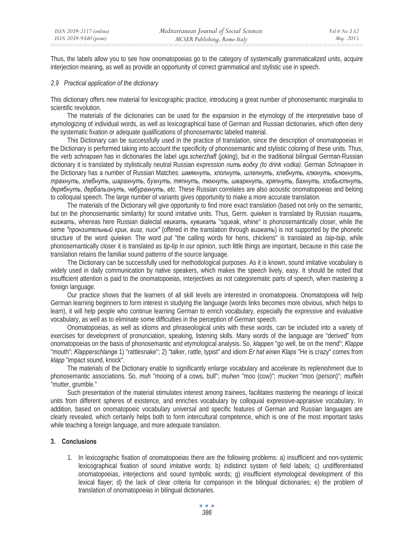Thus, the labels allow you to see how onomatopoeias go to the category of systemically grammaticalized units, acquire interjection meaning, as well as provide an opportunity of correct grammatical and stylistic use in speech.

### *2.9 Practical application of the dictionary*

This dictionary offers new material for lexicographic practice, introducing a great number of phonosemantic marginalia to scientific revolution.

The materials of the dictionaries can be used for the expansion in the etymology of the interpretative base of etymologizing of individual words, as well as lexicographical base of German and Russian dictionaries, which often deny the systematic fixation or adequate qualifications of phonosemantic labeled material.

This Dictionary can be successfully used in the practice of translation, since the description of onomatopoeias in the Dictionary is performed taking into account the specificity of phonosemantic and stylistic coloring of these units. Thus, the verb *schnapsen* has in dictionaries the label *ugs.scherzhaft* (joking), but in the traditional bilingual German-Russian dictionary it is translated by stylistically neutral Russian expression *numb εοδκγ (to drink vodka)*. German *Schnapsen* in the Dictionary has a number of Russian Matches: шмякнуть, хлопнуть, шлепнуть, хлебнуть, клюнуть, клюкнуть, трахнуть, хлебнуть, шарахнуть, бухнуть, тяпнуть, тюкнуть, шваркнуть, хряпнуть, бахнуть, хлобыстнуть,  $\partial$ ерябнуть, дербальвнуть, чебурахнуть, etc. These Russian correlates are also acoustic onomatopoeias and belong to colloquial speech. The large number of variants gives opportunity to make a more accurate translation.

The materials of the Dictionary will give opportunity to find more exact translation (based not only on the semantic, but on the phonosemantic similarity) for sound imitative units. Thus, Germ. *quieken* is translated by Russian *nutuamb*,  $g$ *uзжать*, whereas here Russian dialectal *κθ καικαπь, κγβ μικαπη* "squeak, whine" is phonosemantically closer, while the seme "пронзительный крик, визг, писк" (offered in the translation through визжать) is not supported by the phonetic structure of the word *quieken*. The word *put* "the calling words for hens, chickens" is translated as *tsip-tsip*, while phonosemantically closer it is translated as *tip-tip* In our opinion, such little things are important, because in this case the translation retains the familiar sound patterns of the source language.

The Dictionary can be successfully used for methodological purposes. As it is known, sound imitative vocabulary is widely used in daily communication by native speakers, which makes the speech lively, easy. It should be noted that insufficient attention is paid to the onomatopoeias, interjectives as not categorematic parts of speech, when mastering a foreign language.

Our practice shows that the learners of all skill levels are interested in onomatopoeia. Onomatopoeia will help German learning beginners to form interest in studying the language (words links becomes more obvious, which helps to learn), it will help people who continue learning German to enrich vocabulary, especially the expressive and evaluative vocabulary, as well as to eliminate some difficulties in the perception of German speech.

Onomatopoeias, as well as idioms and phraseological units with these words, can be included into a variety of exercises for development of pronunciation, speaking, listening skills. Many words of the language are "derived" from onomatopoeias on the basis of phonosemantic and etymological analysis. So, *klappen* "go well, be on the mend"; *Klappe* "mouth"; *Klapperschlange* 1) "rattlesnake"; 2) "talker, rattle, typist" and idiom *Er hat einen Klaps* "He is crazy" comes from *klapp* "impact sound, knock".

The materials of the Dictionary enable to significantly enlarge vocabulary and accelerate its replenishment due to phonosemantic associations. So, *muh* "mooing of a cows, bull"; *muhen* "moo (cow)"; *mucken* "moo (person)"; *muffeln* "mutter, grumble."

Such presentation of the material stimulates interest among trainees, facilitates mastering the meanings of lexical units from different spheres of existence, and enriches vocabulary by colloquial expressive-appraisive vocabulary. In addition, based on onomatopoeic vocabulary universal and specific features of German and Russian languages are clearly revealed, which certainly helps both to form intercultural competence, which is one of the most important tasks while teaching a foreign language, and more adequate translation.

## **3. Conclusions**

1. In lexicographic fixation of onomatopoeias there are the following problems: a) insufficient and non-systemic lexicographical fixation of sound imitative words; b) indistinct system of field labels; c) undifferentiated onomatopoeias, interjections and sound symbolic words; g) insufficient etymological development of this lexical flayer; d) the lack of clear criteria for comparison in the bilingual dictionaries; e) the problem of translation of onomatopoeias in bilingual dictionaries.